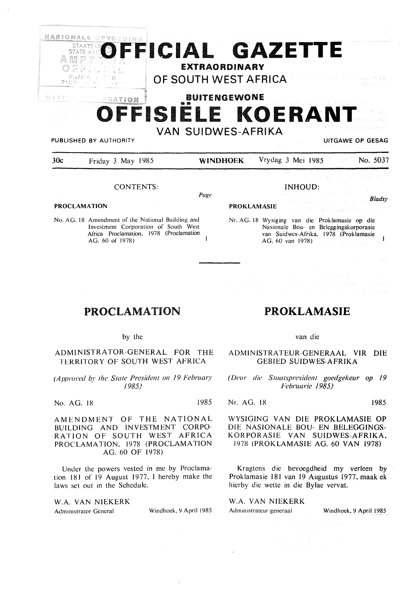

*Page* 

**PROKLAMASIE** 

#### CONTENTS:

**PROCLAMATION** 

No. AG. 18 Amendment of the National Building and Investment Corporation of South West Africa Proclamation, 1978 (Proclamation AG. 60 of 1978)

|  | Nr. AG. 18 Wysiging van die Proklamasie op die<br>Nasionale Bou- en Beleggingskorporasie |
|--|------------------------------------------------------------------------------------------|
|  | van Suidwes-Afrika, 1978 (Proklamasie)<br>AG. 60 van 1978) <b>AG.</b> AG. Martin 1978    |
|  |                                                                                          |

east of course with consent

INHOUD:

 $\Delta \sim 10^{11}$  km s  $^{-1.2}$ **Participal of the Secret Secrets** 

## PROCLAMATION

#### by the

ADMINISTRATOR-GENERAL FOR THE TERRITORY OF SOUTH WEST AFRICA

*(Approved by the State President on 19 February 1985)* 

No. AG. 18 1985

AMENDMENT OF THE NATIONAL BUILDING AND INVESTMENT CORPO-RATION OF SOUTH WEST AFRICA PROCLAMATION, 1978 (PROCLAMATION AG. 60 OF 1978)

Under the powers vested in me by Proclamation 181 of 19 August 1977. I hereby make the laws set out in the Schedule.

W.A. VAN NIEKERK Administrator General Windhoek, 9 April 1985

ţ

# **PROKLAMASIE**

#### van die

#### ADMINISTRATEUR-GENERAAL VIR DIE GEBIED SUIDWES-AFRIKA

*( Deur die Staatsprcsident goedgekeur* op *19 Februarie 1985)* 

Nr. AG. 18 1985

Bladsy

 $\mathbf{I}%$ 

 $\sim \alpha$  .

WYSIGING VAN DIE PROKLAMASIE OP DIE NASIONALE BOU- EN BELEGGINGS-KORPORASIE VAN SUIDWES-AFRIKA, 1978 (PROKLAMASIE AG. 60 VAN 1978)

Kragtens die bevoegdheid my verleen by Proklamasie 181 van 19 Augustus 1977, maak ek hierby die wette in die Bylae vervat.

W.A. VAN NIEKERK

Administrateur-generaal Windhoek, 9 April 1985